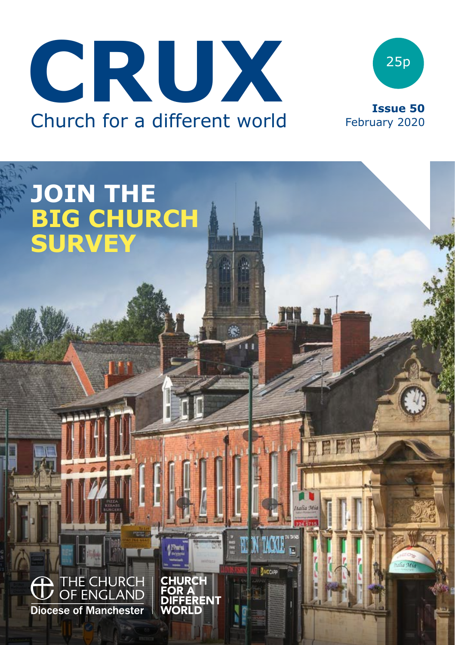



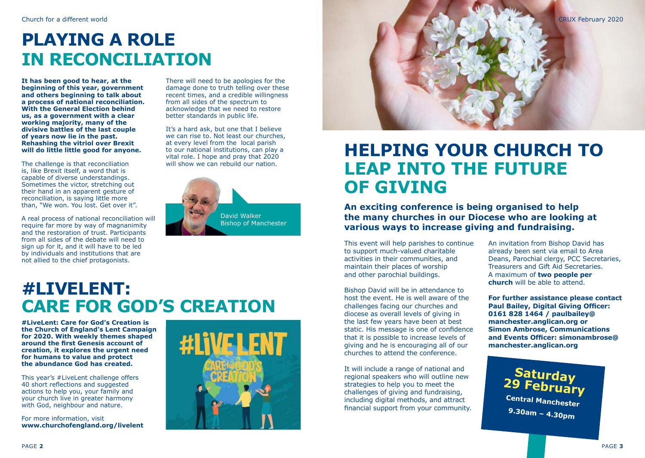## **PLAYING A ROLE IN RECONCILIATION**

**It has been good to hear, at the beginning of this year, government and others beginning to talk about a process of national reconciliation. With the General Election behind us, as a government with a clear working majority, many of the divisive battles of the last couple of years now lie in the past. Rehashing the vitriol over Brexit will do little little good for anyone.**

The challenge is that reconciliation is, like Brexit itself, a word that is capable of diverse understandings. Sometimes the victor, stretching out their hand in an apparent gesture of reconciliation, is saying little more than, "We won. You lost. Get over it".

A real process of national reconciliation will require far more by way of magnanimity and the restoration of trust. Participants from all sides of the debate will need to sign up for it, and it will have to be led by individuals and institutions that are not allied to the chief protagonists.

There will need to be apologies for the damage done to truth telling over these recent times, and a credible willingness from all sides of the spectrum to acknowledge that we need to restore better standards in public life.

It's a hard ask, but one that I believe we can rise to. Not least our churches at every level from the local parish to our national institutions, can play a vital role. I hope and pray that 2020 will show we can rebuild our nation



## **#LIVELENT: CARE FOR GOD'S CREATION**

**#LiveLent: Care for God's Creation is the Church of England's Lent Campaign for 2020. With weekly themes shaped around the first Genesis account of creation, it explores the urgent need for humans to value and protect the abundance God has created.**

This year's #LiveLent challenge offers 40 short reflections and suggested actions to help you, your family and your church live in greater harmony with God, neighbour and nature.

For more information, visit **[www.churchofengland.org/livelent](https://www.churchofengland.org/livelent)**





## **HELPING YOUR CHURCH TO LEAP INTO THE FUTURE OF GIVING**

**An exciting conference is being organised to help the many churches in our Diocese who are looking at various ways to increase giving and fundraising.** 

This event will help parishes to continue to support much-valued charitable activities in their communities, and maintain their places of worship and other parochial buildings.

Bishop David will be in attendance to host the event. He is well aware of the challenges facing our churches and diocese as overall levels of giving in the last few years have been at best static. His message is one of confidence that it is possible to increase levels of giving and he is encouraging all of our churches to attend the conference.

It will include a range of national and regional speakers who will outline new strategies to help you to meet the challenges of giving and fundraising, including digital methods, and attract financial support from your community. An invitation from Bishop David has already been sent via email to Area Deans, Parochial clergy, PCC Secretaries, Treasurers and Gift Aid Secretaries. A maximum of **two people per church** will be able to attend.

**For further assistance please contact Paul Bailey, Digital Giving Officer: 0161 828 1464 / paulbailey@ manchester.anglican.org or Simon Ambrose, Communications and Events Officer: simonambrose@ manchester.anglican.org**

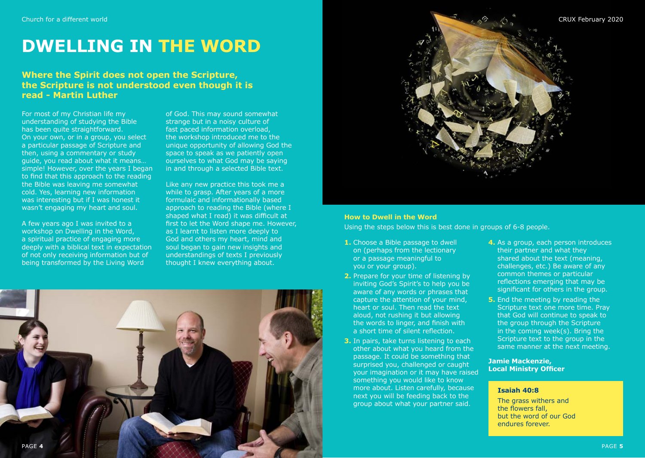## **DWELLING IN THE WORD**

#### **Where the Spirit does not open the Scripture, the Scripture is not understood even though it is read - Martin Luther**

For most of my Christian life my understanding of studying the Bible has been quite straightforward. On your own, or in a group, you select a particular passage of Scripture and then, using a commentary or study guide, you read about what it means… simple! However, over the years I began to find that this approach to the reading the Bible was leaving me somewhat cold. Yes, learning new information was interesting but if I was honest it wasn't engaging my heart and soul.

A few years ago I was invited to a workshop on Dwelling in the Word, a spiritual practice of engaging more deeply with a biblical text in expectation of not only receiving information but of being transformed by the Living Word

of God. This may sound somewhat strange but in a noisy culture of fast paced information overload, the workshop introduced me to the unique opportunity of allowing God the space to speak as we patiently open ourselves to what God may be saying in and through a selected Bible text.

Like any new practice this took me a while to grasp. After years of a more formulaic and informationally based approach to reading the Bible (where I shaped what I read) it was difficult at first to let the Word shape me. However, as I learnt to listen more deeply to God and others my heart, mind and soul began to gain new insights and understandings of texts I previously thought I knew everything about.





#### **How to Dwell in the Word**

Using the steps below this is best done in groups of 6-8 people.

- **1.** Choose a Bible passage to dwell on (perhaps from the lectionary or a passage meaningful to you or your group).
- **2.** Prepare for your time of listening by inviting God's Spirit's to help you be aware of any words or phrases that capture the attention of your mind, heart or soul. Then read the text aloud, not rushing it but allowing the words to linger, and finish with a short time of silent reflection.
- **3.** In pairs, take turns listening to each other about what you heard from the passage. It could be something that surprised you, challenged or caught your imagination or it may have raised something you would like to know more about. Listen carefully, because next you will be feeding back to the group about what your partner said.
- **4.** As a group, each person introduces their partner and what they shared about the text (meaning, challenges, etc.) Be aware of any common themes or particular reflections emerging that may be significant for others in the group.
- **5.** End the meeting by reading the Scripture text one more time. Pray that God will continue to speak to the group through the Scripture in the coming week(s). Bring the Scripture text to the group in the same manner at the next meeting.

#### **Jamie Mackenzie, Local Ministry Officer**

#### **Isaiah 40:8**

The grass withers and the flowers fall, but the word of our God endures forever.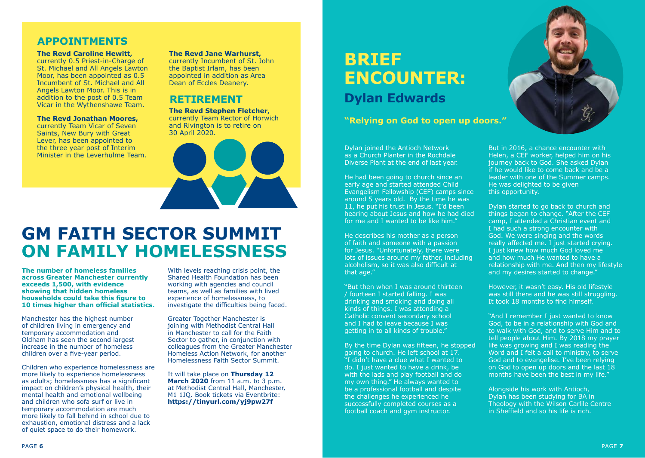### **APPOINTMENTS**

#### **The Revd Caroline Hewitt,**

currently 0.5 Priest-in-Charge of St. Michael and All Angels Lawton Moor, has been appointed as 0.5 Incumbent of St. Michael and All Angels Lawton Moor. This is in addition to the post of 0.5 Team Vicar in the Wythenshawe Team.

#### **The Revd Jonathan Moores,**

currently Team Vicar of Seven Saints, New Bury with Great Lever, has been appointed to the three year post of Interim Minister in the Leverhulme Team.

#### **The Revd Jane Warhurst,**

currently Incumbent of St. John the Baptist Irlam, has been appointed in addition as Area Dean of Eccles Deanery.

### **RETIREMENT**

**The Revd Stephen Fletcher,** currently Team Rector of Horwich and Rivington is to retire on 30 April 2020.



## **GM FAITH SECTOR SUMMIT ON FAMILY HOMELESSNESS**

**The number of homeless families across Greater Manchester currently exceeds 1,500, with evidence showing that hidden homeless households could take this figure to 10 times higher than official statistics.** 

Manchester has the highest number of children living in emergency and temporary accommodation and Oldham has seen the second largest increase in the number of homeless children over a five-year period.

Children who experience homelessness are more likely to experience homelessness as adults; homelessness has a significant impact on children's physical health, their mental health and emotional wellbeing and children who sofa surf or live in temporary accommodation are much more likely to fall behind in school due to exhaustion, emotional distress and a lack of quiet space to do their homework.

With levels reaching crisis point, the Shared Health Foundation has been working with agencies and council teams, as well as families with lived experience of homelessness, to investigate the difficulties being faced.

Greater Together Manchester is joining with Methodist Central Hall in Manchester to call for the Faith Sector to gather, in conjunction with colleagues from the Greater Manchester Homeless Action Network, for another Homelessness Faith Sector Summit.

It will take place on **Thursday 12 March 2020** from 11 a.m. to 3 p.m. at Methodist Central Hall, Manchester, M1 1JQ. Book tickets via Eventbrite: **<https://tinyurl.com/yj9pw27f>**

## **BRIEF ENCOUNTER: Dylan Edwards**

**"Relying on God to open up doors."**

Dylan joined the Antioch Network as a Church Planter in the Rochdale Diverse Plant at the end of last year.

He had been going to church since an early age and started attended Child Evangelism Fellowship (CEF) camps since around 5 years old. By the time he was 11, he put his trust in Jesus. "I'd been hearing about Jesus and how he had died for me and I wanted to be like him."

He describes his mother as a person of faith and someone with a passion for Jesus. "Unfortunately, there were lots of issues around my father, including alcoholism, so it was also difficult at that age."

"But then when I was around thirteen / fourteen I started falling. I was drinking and smoking and doing all kinds of things. I was attending a Catholic convent secondary school and I had to leave because I was getting in to all kinds of trouble."

By the time Dylan was fifteen, he stopped going to church. He left school at 17. "I didn't have a clue what I wanted to do. I just wanted to have a drink, be with the lads and play football and do my own thing." He always wanted to be a professional football and despite the challenges he experienced he successfully completed courses as a football coach and gym instructor.



But in 2016, a chance encounter with Helen, a CEF worker, helped him on his journey back to God. She asked Dylan if he would like to come back and be a leader with one of the Summer camps. He was delighted to be given this opportunity.

Dylan started to go back to church and things began to change. "After the CEF camp, I attended a Christian event and I had such a strong encounter with God. We were singing and the words really affected me. I just started crying. I just knew how much God loved me and how much He wanted to have a relationship with me. And then my lifestyle and my desires started to change."

However, it wasn't easy. His old lifestyle was still there and he was still struggling. It took 18 months to find himself.

"And I remember I just wanted to know God, to be in a relationship with God and to walk with God, and to serve Him and to tell people about Him. By 2018 my prayer life was growing and I was reading the Word and I felt a call to ministry, to serve God and to evangelise. I've been relying on God to open up doors and the last 18 months have been the best in my life."

Alongside his work with Antioch, Dylan has been studying for BA in Theology with the Wilson Carlile Centre in Sheffield and so his life is rich.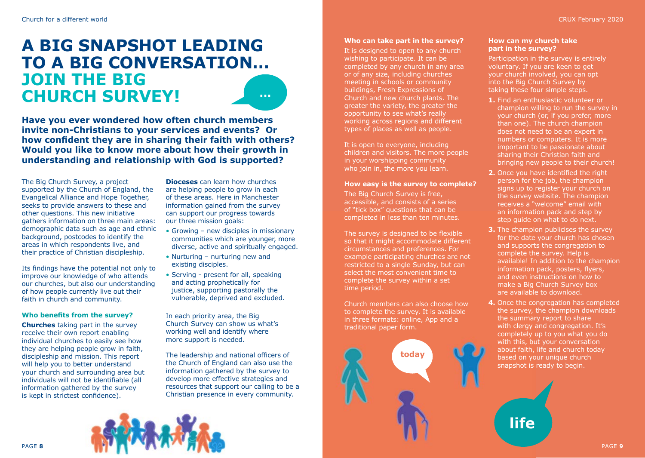## **A BIG SNAPSHOT LEADING TO A BIG CONVERSATION… JOIN THE BIG CHURCH SURVEY! ...**

**Have you ever wondered how often church members invite non-Christians to your services and events? Or how confident they are in sharing their faith with others? Would you like to know more about how their growth in understanding and relationship with God is supported?**

The Big Church Survey, a project supported by the Church of England, the Evangelical Alliance and Hope Together, seeks to provide answers to these and other questions. This new initiative gathers information on three main areas: demographic data such as age and ethnic background, postcodes to identify the areas in which respondents live, and their practice of Christian discipleship.

Its findings have the potential not only to improve our knowledge of who attends our churches, but also our understanding of how people currently live out their faith in church and community.

#### **Who benefits from the survey?**

**Churches** taking part in the survey receive their own report enabling individual churches to easily see how they are helping people grow in faith, discipleship and mission. This report will help you to better understand your church and surrounding area but individuals will not be identifiable (all information gathered by the survey is kept in strictest confidence).

**Dioceses** can learn how churches are helping people to grow in each of these areas. Here in Manchester information gained from the survey can support our progress towards our three mission goals:

- Growing new disciples in missionary communities which are younger, more diverse, active and spiritually engaged.
- Nurturing nurturing new and existing disciples.
- Serving present for all, speaking and acting prophetically for justice, supporting pastorally the vulnerable, deprived and excluded.

In each priority area, the Big Church Survey can show us what's working well and identify where more support is needed.

The leadership and national officers of the Church of England can also use the information gathered by the survey to develop more effective strategies and resources that support our calling to be a Christian presence in every community.



#### **Who can take part in the survey?**

It is designed to open to any church wishing to participate. It can be completed by any church in any area or of any size, including churches meeting in schools or community buildings, Fresh Expressions of Church and new church plants. The greater the variety, the greater the opportunity to see what's really working across regions and different types of places as well as people.

It is open to everyone, including children and visitors. The more people in your worshipping community who join in, the more you learn.

#### **How easy is the survey to complete?**

The Big Church Survey is free, accessible, and consists of a series of "tick box" questions that can be completed in less than ten minutes.

The survey is designed to be flexible so that it might accommodate different circumstances and preferences. For example participating churches are not restricted to a single Sunday, but can select the most convenient time to complete the survey within a set time period.

Church members can also choose how to complete the survey. It is available in three formats: online, App and a traditional paper form.



#### **How can my church take part in the survey?**

Participation in the survey is entirely voluntary. If you are keen to get your church involved, you can opt into the Big Church Survey by taking these four simple steps.

- **1.** Find an enthusiastic volunteer or champion willing to run the survey in your church (or, if you prefer, more than one). The church champion does not need to be an expert in numbers or computers. It is more important to be passionate about sharing their Christian faith and bringing new people to their church!
- **2.** Once you have identified the right person for the job, the champion signs up to register your church on the survey website. The champion receives a "welcome" email with an information pack and step by step quide on what to do next.
- **3.** The champion publicises the survey for the date your church has chosen and supports the congregation to complete the survey. Help is available! In addition to the champion information pack, posters, flyers, and even instructions on how to make a Big Church Survey box are available to download.
- **4.** Once the congregation has completed the survey, the champion downloads the summary report to share with clergy and congregation. It's completely up to you what you do with this, but your conversation about faith, life and church today based on your unique church snapshot is ready to begin.

**life**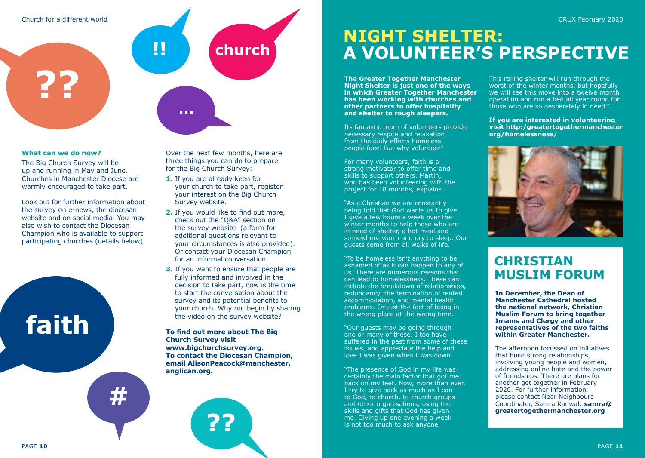



#### **What can we do now?**

The Big Church Survey will be up and running in May and June. Churches in Manchester Diocese are warmly encouraged to take part.

Look out for further information about the survey on e-news, the diocesan website and on social media. You may also wish to contact the Diocesan Champion who is available to support participating churches (details below).



**#**



- **1.** If you are already keen for your church to take part, register your interest on the Big Church Survey website.
- **2.** If you would like to find out more, check out the "Q&A" section on the survey website (a form for additional questions relevant to your circumstances is also provided). Or contact your Diocesan Champion for an informal conversation.
- **3.** If you want to ensure that people are fully informed and involved in the decision to take part, now is the time to start the conversation about the survey and its potential benefits to your church. Why not begin by sharing the video on the survey website?

**To find out more about The Big Church Survey visit [www.bigchurchsurvey.org](http://www.bigchurchsurvey.org). To contact the Diocesan Champion, email AlisonPeacock@manchester. anglican.org.**

**??**

## **NIGHT SHELTER: A VOLUNTEER'S PERSPECTIVE**

**The Greater Together Manchester Night Shelter is just one of the ways in which Greater Together Manchester has been working with churches and other partners to offer hospitality and shelter to rough sleepers.**

Its fantastic team of volunteers provide necessary respite and relaxation from the daily efforts homeless people face. But why volunteer?

For many volunteers, faith is a strong motivator to offer time and skills to support others. Martin, who has been volunteering with the project for 18 months, explains.

"As a Christian we are constantly being told that God wants us to give. I give a few hours a week over the winter months to help those who are in need of shelter, a hot meal and somewhere warm and dry to sleep. Our guests come from all walks of life.

"To be homeless isn't anything to be ashamed of as it can happen to any of us. There are numerous reasons that can lead to homelessness. These can include the breakdown of relationships, redundancy, the termination of rented accommodation, and mental health problems. Or just the fact of being in the wrong place at the wrong time.

"Our guests may be going through one or many of these. I too have suffered in the past from some of these issues, and appreciate the help and love I was given when I was down.

"The presence of God in my life was certainly the main factor that got me back on my feet. Now, more than ever, I try to give back as much as I can to God, to church, to church groups and other organisations, using the skills and gifts that God has given me. Giving up one evening a week is not too much to ask anyone.

This rolling shelter will run through the worst of the winter months, but hopefully we will see this move into a twelve month operation and run a bed all year round for those who are so desperately in need."

**If you are interested in volunteering visit [http:/greatertogethermanchester](http://greatertogethermanchester.org/homelessness/)  [org/homelessness/](http://greatertogethermanchester.org/homelessness/)**



## **CHRISTIAN MUSLIM FORUM**

**In December, the Dean of Manchester Cathedral hosted the national network, Christian Muslim Forum to bring together Imams and Clergy and other representatives of the two faiths within Greater Manchester.**

The afternoon focussed on initiatives that build strong relationships, involving young people and women, addressing online hate and the power of friendships. There are plans for another get together in February 2020. For further information, please contact Near Neighbours Coordinator, Samra Kanwal: **[samra@](mailto:samra@greatertogethermanchester.org) [greatertogethermanchester.org](mailto:samra@greatertogethermanchester.org)**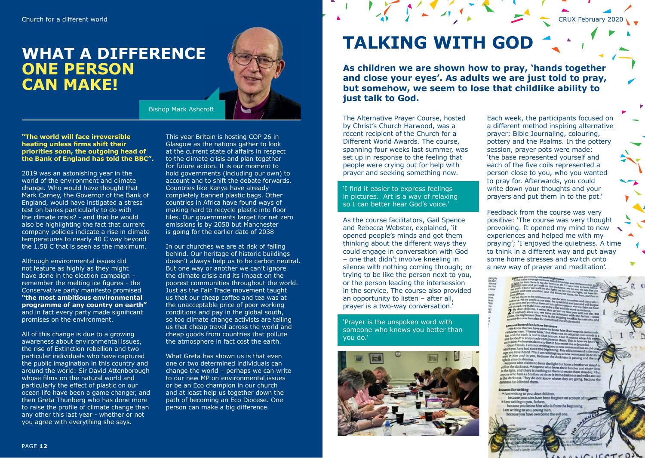## **WHAT A DIFFERENCE ONE PERSON CAN MAKE!**



#### Bishop Mark Ashcroft

#### **"The world will face irreversible heating unless firms shift their priorities soon, the outgoing head of the Bank of England has told the BBC".**

2019 was an astonishing year in the world of the environment and climate change. Who would have thought that Mark Carney, the Governor of the Bank of England, would have instigated a stress test on banks particularly to do with the climate crisis? - and that he would also be highlighting the fact that current company policies indicate a rise in climate temperatures to nearly 40 C way beyond the 1.50 C that is seen as the maximum.

Although environmental issues did not feature as highly as they might have done in the election campaign – remember the melting ice figures - the Conservative party manifesto promised **"the most ambitious environmental programme of any country on earth"** and in fact every party made significant promises on the environment.

All of this change is due to a growing awareness about environmental issues, the rise of Extinction rebellion and two particular individuals who have captured the public imagination in this country and around the world: Sir David Attenborough whose films on the natural world and particularly the effect of plastic on our ocean life have been a game changer, and then Greta Thunberg who has done more to raise the profile of climate change than any other this last year - whether or not you agree with everything she says.

This year Britain is hosting COP 26 in Glasgow as the nations gather to look at the current state of affairs in respect to the climate crisis and plan together for future action. It is our moment to hold governments (including our own) to account and to shift the debate forwards. Countries like Kenya have already completely banned plastic bags. Other countries in Africa have found ways of making hard to recycle plastic into floor tiles. Our governments target for net zero emissions is by 2050 but Manchester is going for the earlier date of 2038

In our churches we are at risk of falling behind. Our heritage of historic buildings doesn't always help us to be carbon neutral. But one way or another we can't ignore the climate crisis and its impact on the poorest communities throughout the world. Just as the Fair Trade movement taught us that our cheap coffee and tea was at the unacceptable price of poor working conditions and pay in the global south, so too climate change activists are telling us that cheap travel across the world and cheap goods from countries that pollute the atmosphere in fact cost the earth.

What Greta has shown us is that even one or two determined individuals can change the world – perhaps we can write to our new MP on environmental issues or be an Eco champion in our church and at least help us together down the path of becoming an Eco Diocese. One person can make a big difference.

## **TALKING WITH GOD**

**As children we are shown how to pray, 'hands together and close your eyes'. As adults we are just told to pray, but somehow, we seem to lose that childlike ability to just talk to God.**

The Alternative Prayer Course, hosted by Christ's Church Harwood, was a recent recipient of the Church for a Different World Awards. The course, spanning four weeks last summer, was set up in response to the feeling that people were crying out for help with prayer and seeking something new.

'I find it easier to express feelings in pictures. Art is a way of relaxing so I can better hear God's voice.'

As the course facilitators, Gail Spence and Rebecca Webster, explained, 'it opened people's minds and got them thinking about the different ways they could engage in conversation with God – one that didn't involve kneeling in silence with nothing coming through; or trying to be like the person next to you, or the person leading the intersession in the service. The course also provided an opportunity to listen – after all, prayer is a two-way conversation.'

'Prayer is the unspoken word with someone who knows you better than you do.'



Each week, the participants focused on a different method inspiring alternative prayer: Bible Journaling, colouring, pottery and the Psalms. In the pottery session, prayer pots were made: 'the base represented yourself and each of the five coils represented a person close to you, who you wanted to pray for. Afterwards, you could write down your thoughts and your prayers and put them in to the pot.'

Feedback from the course was very positive: 'The course was very thought provoking. It opened my mind to new experiences and helped me with my praying'; 'I enjoyed the quietness. A time to think in a different way and put away some home stresses and switch onto a new way of prayer and meditation'.

about<br>In the

is to be in the light but hates a !

oil in the darkness. "Ammon who oves their brother and sis spu in the databless. "Anyone who loves their brother and sisters live<br>is the light, and there is nothing in them to make them stumble. "It ho hates a brother or sister is in the darkness and walks at the darkness. They do not know where they are enjoy wennes has blinded them.

lam writing to you, dear children because your sins have been forgiven on account of his # Jam writing to you, fathers,

PAGE **13**

because you know him who is I am writing to you, young

CRUX February 2020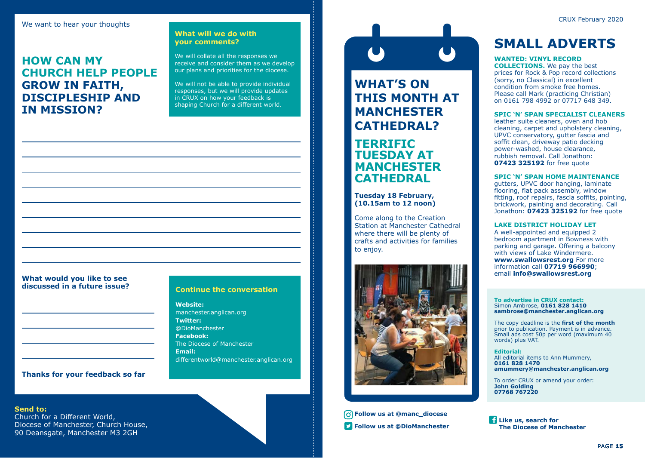### **HOW CAN MY CHURCH HELP PEOPLE GROW IN FAITH, DISCIPLESHIP AND IN MISSION?**

#### **What will we do with your comments?**

We will collate all the responses we receive and consider them as we develop our plans and priorities for the diocese.

We will not be able to provide individual responses, but we will provide updates in CRUX on how your feedback is shaping Church for a different world.

## **What would you like to see**

#### **Continue the conversation**

**Website:** manchester.anglican.org **Twitter:** @DioManchester **Facebook:** The Diocese of Manchester **Email:**  differentworld@manchester.anglican.org

**Thanks for your feedback so far**

## **Send to:**

Church for a Different World, Diocese of Manchester, Church House, 90 Deansgate, Manchester M3 2GH

**WHAT'S ON** 

**THIS MONTH AT MANCHESTER CATHEDRAL?**

### **TERRIFIC TUESDAY AT MANCHESTER CATHEDRAL**

**Tuesday 18 February, (10.15am to 12 noon)**

Come along to the Creation Station at Manchester Cathedral where there will be plenty of crafts and activities for families to enjoy.



**Follow us at @DioManchester The Diocese of Manchester Follow us at @manc\_diocese**

#### CRUX February 2020

## **SMALL ADVERTS**

**WANTED: VINYL RECORD** 

**COLLECTIONS.** We pay the best prices for Rock & Pop record collections (sorry, no Classical) in excellent condition from smoke free homes. Please call Mark (practicing Christian) on 0161 798 4992 or 07717 648 349.

#### **SPIC 'N' SPAN SPECIALIST CLEANERS**

leather suite cleaners, oven and hob cleaning, carpet and upholstery cleaning, UPVC conservatory, gutter fascia and soffit clean, driveway patio decking power-washed, house clearance, rubbish removal. Call Jonathon: **07423 325192** for free quote

#### **SPIC 'N' SPAN HOME MAINTENANCE**

gutters, UPVC door hanging, laminate flooring, flat pack assembly, window fitting, roof repairs, fascia soffits, pointing, brickwork, painting and decorating. Call Jonathon: **07423 325192** for free quote

#### **LAKE DISTRICT HOLIDAY LET**

A well-appointed and equipped 2 bedroom apartment in Bowness with parking and garage. Offering a balcony with views of Lake Windermere. **[www.swallowsrest.org](http://www.swallowsrest.org)** For more information call **07719 966990**; email **[info@swallowsrest.org](mailto:info@swallowsrest.org)**

#### **To advertise in CRUX contact:** Simon Ambrose, **0161 828 1410 sambrose@manchester.anglican.org**

The copy deadline is the **first of the month** prior to publication. Payment is in advance. Small ads cost 50p per word (maximum 40 words) plus VAT.

**Editorial:** All editorial items to Ann Mummery, **0161 828 1470 amummery@manchester.anglican.org**

To order CRUX or amend your order: **John Golding 07768 767220**

**Like us, search for**